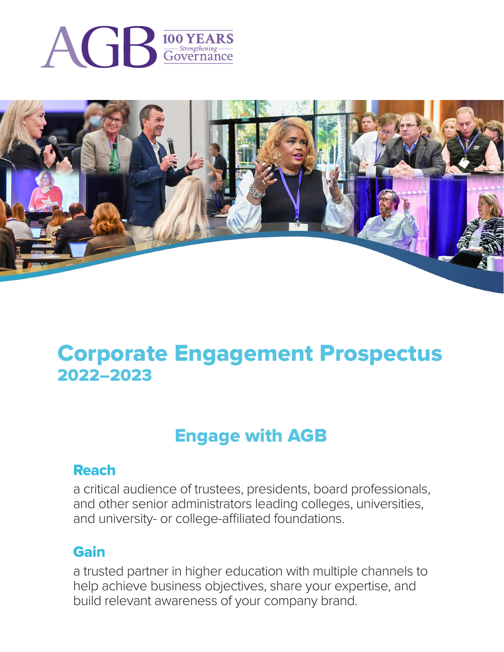



# Corporate Engagement Prospectus 2022–2023

# Engage with AGB

# Reach

a critical audience of trustees, presidents, board professionals, and other senior administrators leading colleges, universities, and university- or college-affiliated foundations.

# Gain

a trusted partner in higher education with multiple channels to help achieve business objectives, share your expertise, and build relevant awareness of your company brand.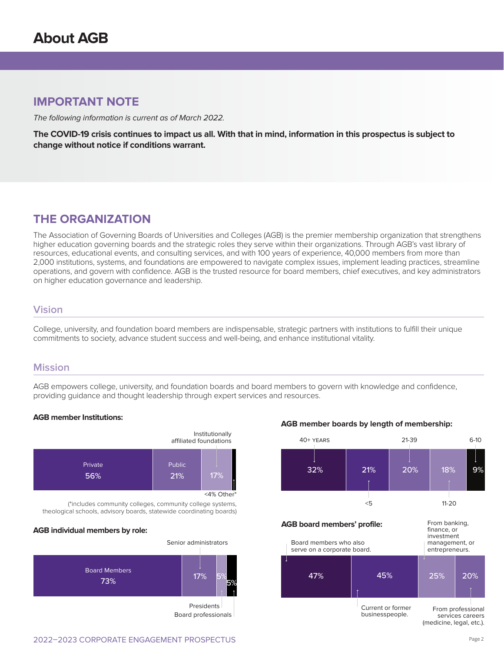# **IMPORTANT NOTE**

The following information is current as of March 2022.

**The COVID-19 crisis continues to impact us all. With that in mind, information in this prospectus is subject to change without notice if conditions warrant.**

# **THE ORGANIZATION**

The Association of Governing Boards of Universities and Colleges (AGB) is the premier membership organization that strengthens higher education governing boards and the strategic roles they serve within their organizations. Through AGB's vast library of resources, educational events, and consulting services, and with 100 years of experience, 40,000 members from more than 2,000 institutions, systems, and foundations are empowered to navigate complex issues, implement leading practices, streamline operations, and govern with confidence. AGB is the trusted resource for board members, chief executives, and key administrators on higher education governance and leadership.

## **Vision**

College, university, and foundation board members are indispensable, strategic partners with institutions to fulfill their unique commitments to society, advance student success and well-being, and enhance institutional vitality.

### **Mission**

AGB empowers college, university, and foundation boards and board members to govern with knowledge and confidence, providing guidance and thought leadership through expert services and resources.

#### **AGB member Institutions:**



(\*includes community colleges, community college systems, theological schools, advisory boards, statewide coordinating boards)

#### **AGB individual members by role:**



**AGB member boards by length of membership:**



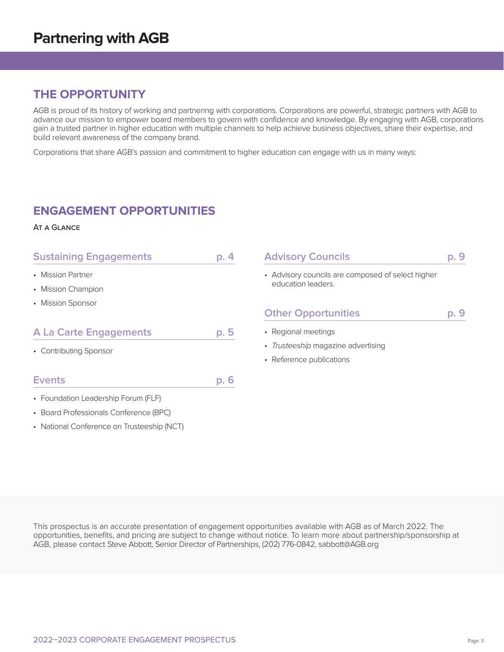# **THE OPPORTUNITY**

AGB is proud of its history of working and partnering with corporations. Corporations are powerful, strategic partners with AGB to advance our mission to empower board members to govern with confidence and knowledge. By engaging with AGB, corporations gain a trusted partner in higher education with multiple channels to help achieve business objectives, share their expertise, and build relevant awareness of the company brand.

Corporations that share AGB's passion and commitment to higher education can engage with us in many ways:

# **ENGAGEMENT OPPORTUNITIES**

#### At a Glance

| <b>Sustaining Engagements</b>              | p.4  | <b>Advisory Councils</b><br>p. 9                  |      |  |
|--------------------------------------------|------|---------------------------------------------------|------|--|
| • Mission Partner                          |      | • Advisory councils are composed of select higher |      |  |
| • Mission Champion                         |      | education leaders.                                |      |  |
| • Mission Sponsor                          |      |                                                   |      |  |
|                                            |      | <b>Other Opportunities</b>                        | p. 9 |  |
| <b>A La Carte Engagements</b>              | p. 5 | • Regional meetings                               |      |  |
| • Contributing Sponsor                     |      | • Trusteeship magazine advertising                |      |  |
|                                            |      | • Reference publications                          |      |  |
| <b>Events</b>                              | p. 6 |                                                   |      |  |
| • Foundation Leadership Forum (FLF)        |      |                                                   |      |  |
| • Board Professionals Conference (BPC)     |      |                                                   |      |  |
| • National Conference on Trusteeship (NCT) |      |                                                   |      |  |

This prospectus is an accurate presentation of engagement opportunities available with AGB as of March 2022. The opportunities, benefits, and pricing are subject to change without notice. To learn more about partnership/sponsorship at AGB, please contact Steve Abbott, Senior Director of Partnerships, (202) 776-0842, sabbott@AGB.org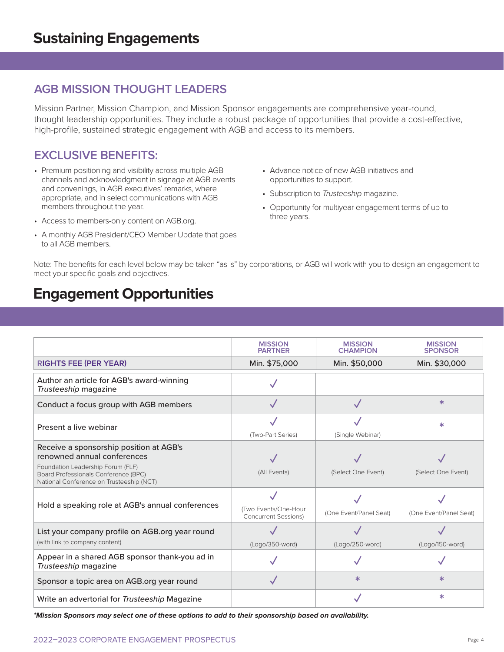# **AGB MISSION THOUGHT LEADERS**

Mission Partner, Mission Champion, and Mission Sponsor engagements are comprehensive year-round, thought leadership opportunities. They include a robust package of opportunities that provide a cost-effective, high-profile, sustained strategic engagement with AGB and access to its members.

# **EXCLUSIVE BENEFITS:**

- Premium positioning and visibility across multiple AGB channels and acknowledgment in signage at AGB events and convenings, in AGB executives' remarks, where appropriate, and in select communications with AGB members throughout the year.
- Access to members-only content on AGB.org.
- A monthly AGB President/CEO Member Update that goes to all AGB members.
- Advance notice of new AGB initiatives and opportunities to support.
- Subscription to *Trusteeship* magazine.
- Opportunity for multiyear engagement terms of up to three years.

Note: The benefits for each level below may be taken "as is" by corporations, or AGB will work with you to design an engagement to meet your specific goals and objectives.

# **Engagement Opportunities**

|                                                                                                                                                                                                 | <b>MISSION</b><br><b>PARTNER</b>                    | <b>MISSION</b><br><b>CHAMPION</b> | <b>MISSION</b><br><b>SPONSOR</b> |
|-------------------------------------------------------------------------------------------------------------------------------------------------------------------------------------------------|-----------------------------------------------------|-----------------------------------|----------------------------------|
| <b>RIGHTS FEE (PER YEAR)</b>                                                                                                                                                                    | Min. \$75,000                                       | Min. \$50,000                     | Min. \$30,000                    |
| Author an article for AGB's award-winning<br>Trusteeship magazine                                                                                                                               |                                                     |                                   |                                  |
| Conduct a focus group with AGB members                                                                                                                                                          |                                                     |                                   | $\ast$                           |
| Present a live webinar                                                                                                                                                                          | (Two-Part Series)                                   | (Single Webinar)                  | ж                                |
| Receive a sponsorship position at AGB's<br>renowned annual conferences<br>Foundation Leadership Forum (FLF)<br>Board Professionals Conference (BPC)<br>National Conference on Trusteeship (NCT) | (All Events)                                        | (Select One Event)                | (Select One Event)               |
| Hold a speaking role at AGB's annual conferences                                                                                                                                                | (Two Events/One-Hour<br><b>Concurrent Sessions)</b> | (One Event/Panel Seat)            | (One Event/Panel Seat)           |
| List your company profile on AGB org year round<br>(with link to company content)                                                                                                               | (Logo/350-word)                                     | (Logo/250-word)                   | (Logo/150-word)                  |
| Appear in a shared AGB sponsor thank-you ad in<br>Trusteeship magazine                                                                                                                          |                                                     |                                   |                                  |
| Sponsor a topic area on AGB.org year round                                                                                                                                                      |                                                     | $\ast$                            | ж                                |
| Write an advertorial for Trusteeship Magazine                                                                                                                                                   |                                                     |                                   | $\ast$                           |

**\*Mission Sponsors may select one of these options to add to their sponsorship based on availability.**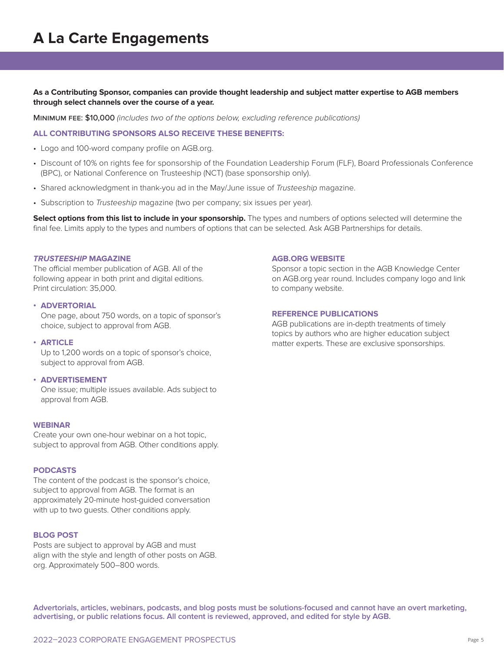**As a Contributing Sponsor, companies can provide thought leadership and subject matter expertise to AGB members through select channels over the course of a year.**

Minimum fee: \$10,000 *(includes two of the options below, excluding reference publications)*

#### **ALL CONTRIBUTING SPONSORS ALSO RECEIVE THESE BENEFITS:**

- Logo and 100-word company profile on AGB.org.
- Discount of 10% on rights fee for sponsorship of the Foundation Leadership Forum (FLF), Board Professionals Conference (BPC), or National Conference on Trusteeship (NCT) (base sponsorship only).
- Shared acknowledgment in thank-you ad in the May/June issue of *Trusteeship* magazine.
- Subscription to *Trusteeship* magazine (two per company; six issues per year).

**Select options from this list to include in your sponsorship.** The types and numbers of options selected will determine the final fee. Limits apply to the types and numbers of options that can be selected. Ask AGB Partnerships for details.

#### **TRUSTEESHIP MAGAZINE**

The official member publication of AGB. All of the following appear in both print and digital editions. Print circulation: 35,000.

#### **• ADVERTORIAL**

One page, about 750 words, on a topic of sponsor's choice, subject to approval from AGB.

#### **• ARTICLE**

Up to 1,200 words on a topic of sponsor's choice, subject to approval from AGB.

#### **• ADVERTISEMENT**

One issue; multiple issues available. Ads subject to approval from AGB.

#### **WEBINAR**

Create your own one-hour webinar on a hot topic, subject to approval from AGB. Other conditions apply.

#### **PODCASTS**

The content of the podcast is the sponsor's choice, subject to approval from AGB. The format is an approximately 20-minute host-guided conversation with up to two guests. Other conditions apply.

#### **BLOG POST**

Posts are subject to approval by AGB and must align with the style and length of other posts on AGB. org. Approximately 500–800 words.

#### **AGB.ORG WEBSITE**

Sponsor a topic section in the AGB Knowledge Center on AGB.org year round. Includes company logo and link to company website.

#### **REFERENCE PUBLICATIONS**

AGB publications are in-depth treatments of timely topics by authors who are higher education subject matter experts. These are exclusive sponsorships.

**Advertorials, articles, webinars, podcasts, and blog posts must be solutions-focused and cannot have an overt marketing, advertising, or public relations focus. All content is reviewed, approved, and edited for style by AGB.**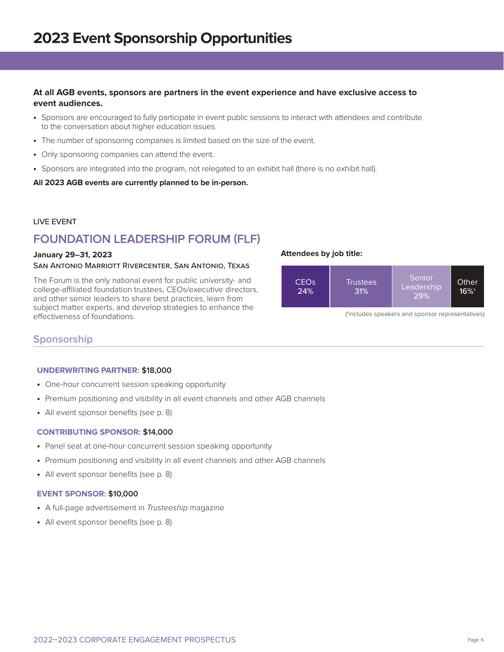### **At all AGB events, sponsors are partners in the event experience and have exclusive access to event audiences.**

- **•** Sponsors are encouraged to fully participate in event public sessions to interact with attendees and contribute to the conversation about higher education issues.
- **•** The number of sponsoring companies is limited based on the size of the event.
- **•** Only sponsoring companies can attend the event.
- **•** Sponsors are integrated into the program, not relegated to an exhibit hall (there is no exhibit hall).

**All 2023 AGB events are currently planned to be in-person.**

#### LIVE EVENT

# **FOUNDATION LEADERSHIP FORUM (FLF)**

#### **January 29–31, 2023**

#### San Antonio Marriott Rivercenter, San Antonio, Texas

The Forum is the only national event for public university- and college-affiliated foundation trustees, CEOs/executive directors, and other senior leaders to share best practices, learn from subject matter experts, and develop strategies to enhance the effectiveness of foundations.





(†includes speakers and sponsor representatives)

## **Sponsorship**

#### **UNDERWRITING PARTNER: \$18,000**

- **•** One-hour concurrent session speaking opportunity
- **•** Premium positioning and visibility in all event channels and other AGB channels
- **•** All event sponsor benefits (see p. 8)

#### **CONTRIBUTING SPONSOR: \$14,000**

- **•** Panel seat at one-hour concurrent session speaking opportunity
- **•** Premium positioning and visibility in all event channels and other AGB channels
- **•** All event sponsor benefits (see p. 8)

#### **EVENT SPONSOR: \$10,000**

- **•** A full-page advertisement in *Trusteeship* magazine
- **•** All event sponsor benefits (see p. 8)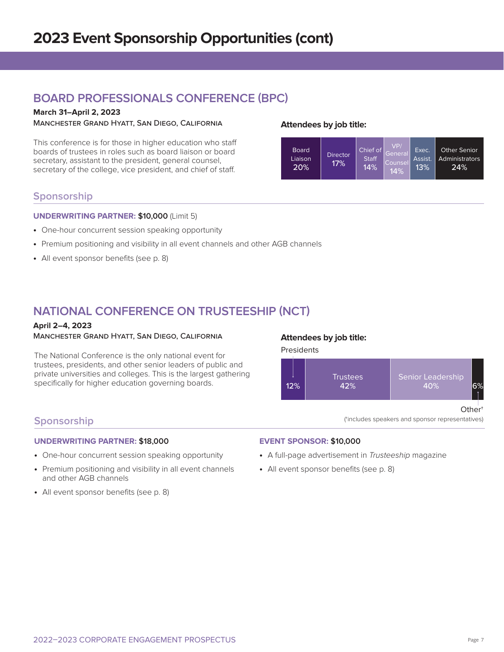# **BOARD PROFESSIONALS CONFERENCE (BPC)**

## **March 31–April 2, 2023**

Manchester Grand Hyatt, San Diego, California

This conference is for those in higher education who staff boards of trustees in roles such as board liaison or board secretary, assistant to the president, general counsel, secretary of the college, vice president, and chief of staff.

### **Attendees by job title:**



## **Sponsorship**

#### **UNDERWRITING PARTNER: \$10,000** (Limit 5)

- **•** One-hour concurrent session speaking opportunity
- **•** Premium positioning and visibility in all event channels and other AGB channels
- **•** All event sponsor benefits (see p. 8)

# **NATIONAL CONFERENCE ON TRUSTEESHIP (NCT)**

#### **April 2–4, 2023** Manchester Grand Hyatt, San Diego, California

The National Conference is the only national event for trustees, presidents, and other senior leaders of public and private universities and colleges. This is the largest gathering specifically for higher education governing boards.

### **Attendees by job title:**

**Presidents** 



(†includes speakers and sponsor representatives)

## **Sponsorship**

#### **UNDERWRITING PARTNER: \$18,000**

- **•** One-hour concurrent session speaking opportunity
- **•** Premium positioning and visibility in all event channels and other AGB channels
- **•** All event sponsor benefits (see p. 8)

#### **EVENT SPONSOR: \$10,000**

- **•** A full-page advertisement in *Trusteeship* magazine
- **•** All event sponsor benefits (see p. 8)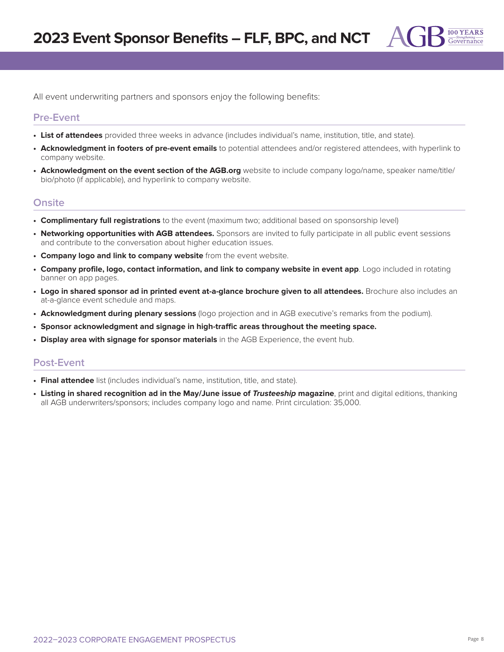All event underwriting partners and sponsors enjoy the following benefits:

## **Pre-Event**

- **• List of attendees** provided three weeks in advance (includes individual's name, institution, title, and state).
- **• Acknowledgment in footers of pre-event emails** to potential attendees and/or registered attendees, with hyperlink to company website.
- **• Acknowledgment on the event section of the AGB.org** website to include company logo/name, speaker name/title/ bio/photo (if applicable), and hyperlink to company website.

## **Onsite**

- **• Complimentary full registrations** to the event (maximum two; additional based on sponsorship level)
- **• Networking opportunities with AGB attendees.** Sponsors are invited to fully participate in all public event sessions and contribute to the conversation about higher education issues.
- **• Company logo and link to company website** from the event website.
- **• Company profile, logo, contact information, and link to company website in event app**. Logo included in rotating banner on app pages.
- **• Logo in shared sponsor ad in printed event at-a-glance brochure given to all attendees.** Brochure also includes an at-a-glance event schedule and maps.
- **• Acknowledgment during plenary sessions** (logo projection and in AGB executive's remarks from the podium).
- **• Sponsor acknowledgment and signage in high-traffic areas throughout the meeting space.**
- **• Display area with signage for sponsor materials** in the AGB Experience, the event hub.

### **Post-Event**

- **• Final attendee** list (includes individual's name, institution, title, and state).
- **• Listing in shared recognition ad in the May/June issue of Trusteeship magazine**, print and digital editions, thanking all AGB underwriters/sponsors; includes company logo and name. Print circulation: 35,000.

100 YEARS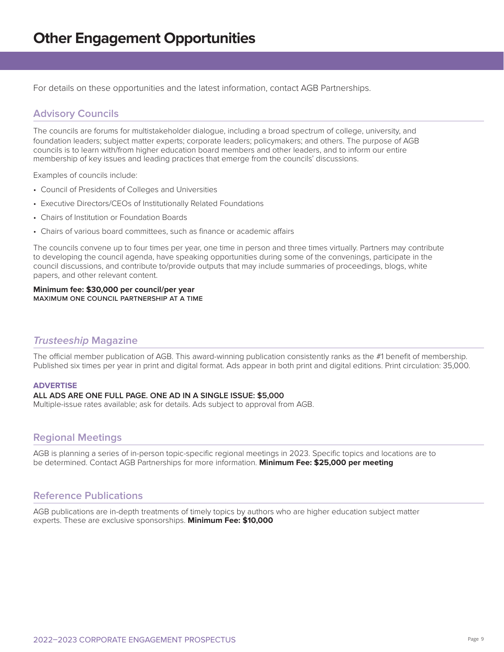For details on these opportunities and the latest information, contact AGB Partnerships.

# **Advisory Councils**

The councils are forums for multistakeholder dialogue, including a broad spectrum of college, university, and foundation leaders; subject matter experts; corporate leaders; policymakers; and others. The purpose of AGB councils is to learn with/from higher education board members and other leaders, and to inform our entire membership of key issues and leading practices that emerge from the councils' discussions.

Examples of councils include:

- Council of Presidents of Colleges and Universities
- Executive Directors/CEOs of Institutionally Related Foundations
- Chairs of Institution or Foundation Boards
- Chairs of various board committees, such as finance or academic affairs

The councils convene up to four times per year, one time in person and three times virtually. Partners may contribute to developing the council agenda, have speaking opportunities during some of the convenings, participate in the council discussions, and contribute to/provide outputs that may include summaries of proceedings, blogs, white papers, and other relevant content.

#### **Minimum fee: \$30,000 per council/per year** maximum one council partnership at a time

## **Trusteeship Magazine**

The official member publication of AGB. This award-winning publication consistently ranks as the #1 benefit of membership. Published six times per year in print and digital format. Ads appear in both print and digital editions. Print circulation: 35,000.

#### **ADVERTISE**

#### **ALL ADS ARE ONE FULL PAGE. ONE AD IN A SINGLE ISSUE: \$5,000**

Multiple-issue rates available; ask for details. Ads subject to approval from AGB.

### **Regional Meetings**

AGB is planning a series of in-person topic-specific regional meetings in 2023. Specific topics and locations are to be determined. Contact AGB Partnerships for more information. **Minimum Fee: \$25,000 per meeting**

### **Reference Publications**

AGB publications are in-depth treatments of timely topics by authors who are higher education subject matter experts. These are exclusive sponsorships. **Minimum Fee: \$10,000**